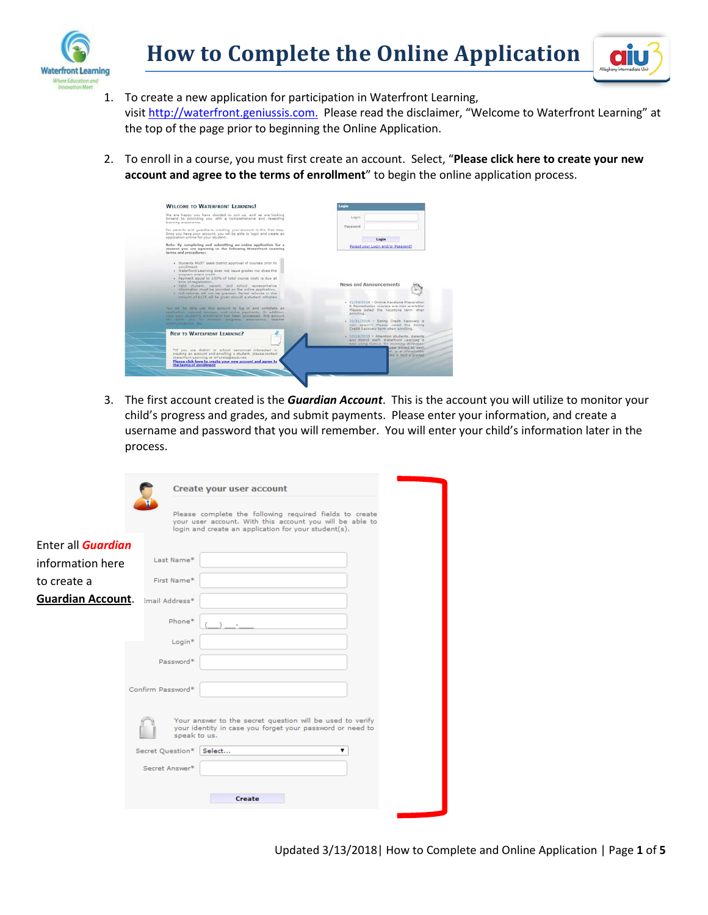



- 1. To create a new application for participation in Waterfront Learning, visi[t http://waterfront.geniussis.com.](http://waterfront.geniussis.com/) Please read the disclaimer, "Welcome to Waterfront Learning" at the top of the page prior to beginning the Online Application.
- 2. To enroll in a course, you must first create an account. Select, "**Please click here to create your new account and agree to the terms of enrollment**" to begin the online application process.

| We are happy you have decided to join us, and we are looking                                                                                                                                                                   |                                                                                                                                               |
|--------------------------------------------------------------------------------------------------------------------------------------------------------------------------------------------------------------------------------|-----------------------------------------------------------------------------------------------------------------------------------------------|
| forward to providing you with a comprehensive and rewarding<br>learning experience.                                                                                                                                            | Login                                                                                                                                         |
| For parents and guardians, creating your account is the first step.<br>Once you have your account, you will be able to login and create an<br>application online for your student.                                             | Passenrd<br>Lagin                                                                                                                             |
| Note: By completing and submitting an online application for a<br>student you are agreeing to the following Waterfront Learning<br>terms and procedures:                                                                       | Forgot your Login and/or Password?                                                                                                            |
| · Students MUST seek district approval of courses prior to                                                                                                                                                                     |                                                                                                                                               |
| annollmans.<br>· Waterfront Learning does not issue grades nor does the                                                                                                                                                        |                                                                                                                                               |
| program award credit.<br>. Payment equal to 100% of total course costs is due at                                                                                                                                               |                                                                                                                                               |
| time of registration.<br>· Valid student, parent, and school representative                                                                                                                                                    | <b>News and Announcements</b>                                                                                                                 |
| information must be provided on the online application.<br>· Full refunds will not be granted. Partial refunds in the<br>atnount of \$125 will be given should a student withdraw                                              |                                                                                                                                               |
| You will be able use this account to log in and complete an<br>application, request courses, and make payments. In addition,                                                                                                   | · 01/24/2014 - Online Keystone Preparation<br>5. Remediation courses are now available!<br>Please select the Keystone term when<br>annolling. |
| once your student's enrolment has been processed. this account<br>oil sine you to months progress, attandance, taaiher<br>commentances the con-                                                                                | . 01/31/3014 - Spring Credit Recovery is<br>now coen!!!! Please select the Spring                                                             |
|                                                                                                                                                                                                                                | Cradit Recovery term when enrolling.                                                                                                          |
| NEW TO WATERFORT LEARNING?                                                                                                                                                                                                     | - 10/18/2013 - Attention students, parents<br>and district staff: Waterfront Learning is<br>now using Genius for involcing purposes:          |
| "If you are district or school personnel interested in<br>creating an account and enrolling a student, plasse contact<br>Waterfront Learning at WFLhelp@aiu3.net.<br>Please click here to create your new account and agree to | praw added to each<br>at is a placeholder<br>nucla figura prades                                                                              |
| the terms of enrolment                                                                                                                                                                                                         |                                                                                                                                               |

3. The first account created is the *Guardian Account*. This is the account you will utilize to monitor your child's progress and grades, and submit payments. Please enter your information, and create a username and password that you will remember. You will enter your child's information later in the process.

|                                         |                   | Create your user account                                                                                                                                                    |
|-----------------------------------------|-------------------|-----------------------------------------------------------------------------------------------------------------------------------------------------------------------------|
|                                         |                   | Please complete the following required fields to create<br>your user account. With this account you will be able to<br>login and create an application for your student(s). |
| Enter all <b>Guardian</b>               |                   |                                                                                                                                                                             |
| information here                        | Last Name*        |                                                                                                                                                                             |
| to create a                             | First Name*       |                                                                                                                                                                             |
| <b>Guardian Account.</b> Imail Address* |                   |                                                                                                                                                                             |
|                                         | Phone*            |                                                                                                                                                                             |
|                                         | Login*            |                                                                                                                                                                             |
|                                         | Password*         |                                                                                                                                                                             |
|                                         | Confirm Password* |                                                                                                                                                                             |
|                                         | speak to us.      | Your answer to the secret question will be used to verify<br>your identity in case you forget your password or need to                                                      |
|                                         | Secret Question*  | Select                                                                                                                                                                      |
|                                         | Secret Answer*    |                                                                                                                                                                             |
|                                         |                   |                                                                                                                                                                             |
|                                         |                   | <b>Create</b>                                                                                                                                                               |
|                                         |                   |                                                                                                                                                                             |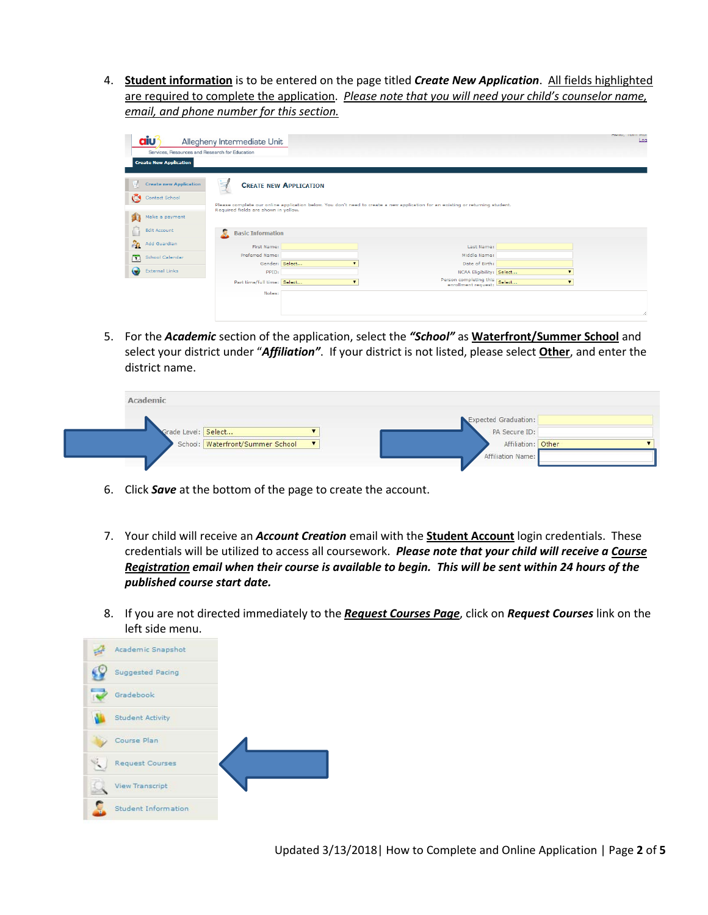4. **Student information** is to be entered on the page titled *Create New Application*. All fields highlighted are required to complete the application. *Please note that you will need your child's counselor name, email, and phone number for this section.*

| <b>aiu</b><br>Services, Resources and Research for Education<br><b>Create New Application</b> | Allegheny Intermediate Unit                                            |                               |                                                                                                                                | nello, Tom mon<br>Log |
|-----------------------------------------------------------------------------------------------|------------------------------------------------------------------------|-------------------------------|--------------------------------------------------------------------------------------------------------------------------------|-----------------------|
| <b>Create new Application</b><br>$\mathbf C$<br>Contact School                                |                                                                        | <b>CREATE NEW APPLICATION</b> | Please complete our online application below. You don't need to create a new application for an existing or returning student. |                       |
| Make a payment<br><b>Edit Account</b>                                                         | Required fields are shown in vellow.<br><b>Basic Information</b><br>Æ. |                               |                                                                                                                                |                       |
| <b>Po</b><br>Add Guardian                                                                     | First Name:                                                            |                               | Last Name:                                                                                                                     |                       |
| School Calendar<br>$\mathbf{E}$                                                               | Preferred Name:                                                        |                               | Middle Name:                                                                                                                   |                       |
| $\bullet$<br><b>External Links</b>                                                            | Gender: Select<br>PPID:                                                |                               | Date of Birth:<br>NCAA Eligibility: Select                                                                                     |                       |
|                                                                                               | Part time/full time: Select                                            |                               | Person completing this Select                                                                                                  |                       |
|                                                                                               | Notes:                                                                 |                               |                                                                                                                                |                       |
|                                                                                               |                                                                        |                               |                                                                                                                                |                       |

5. For the *Academic* section of the application, select the *"School"* as **Waterfront/Summer School** and select your district under "*Affiliation"*. If your district is not listed, please select **Other**, and enter the district name.

| Academic            |                                    |  |                                       |  |
|---------------------|------------------------------------|--|---------------------------------------|--|
| Grade Level: Select |                                    |  | Expected Graduation:<br>PA Secure ID: |  |
|                     | School: Waterfront/Summer School V |  | Affiliation: Other                    |  |
|                     |                                    |  | Affiliation Name:                     |  |

- 6. Click *Save* at the bottom of the page to create the account.
- 7. Your child will receive an *Account Creation* email with the **Student Account** login credentials. These credentials will be utilized to access all coursework. *Please note that your child will receive a Course Registration email when their course is available to begin. This will be sent within 24 hours of the published course start date.*
- 8. If you are not directed immediately to the *Request Courses Page*, click on *Request Courses* link on the left side menu.

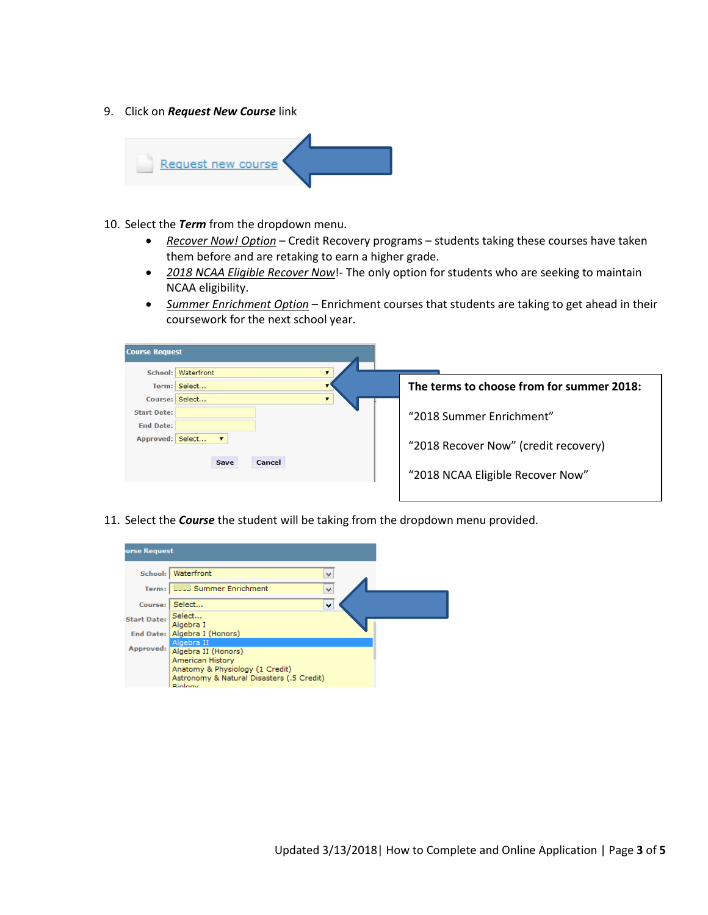9. Click on *Request New Course* link



- 10. Select the *Term* from the dropdown menu.
	- *Recover Now! Option* Credit Recovery programs students taking these courses have taken them before and are retaking to earn a higher grade.
	- *2018 NCAA Eligible Recover Now*!- The only option for students who are seeking to maintain NCAA eligibility.
	- *Summer Enrichment Option* Enrichment courses that students are taking to get ahead in their coursework for the next school year.

| <b>Course Request</b>                                      |                                  |                                                                                                      |
|------------------------------------------------------------|----------------------------------|------------------------------------------------------------------------------------------------------|
|                                                            | School: Waterfront               |                                                                                                      |
|                                                            | Term: Select                     | The terms to choose from for summer 2018:                                                            |
| <b>Start Date:</b><br><b>End Date:</b><br>Approved: Select | Course: Select<br>Cancel<br>Save | "2018 Summer Fnrichment"<br>"2018 Recover Now" (credit recovery)<br>"2018 NCAA Eligible Recover Now" |

11. Select the *Course* the student will be taking from the dropdown menu provided.

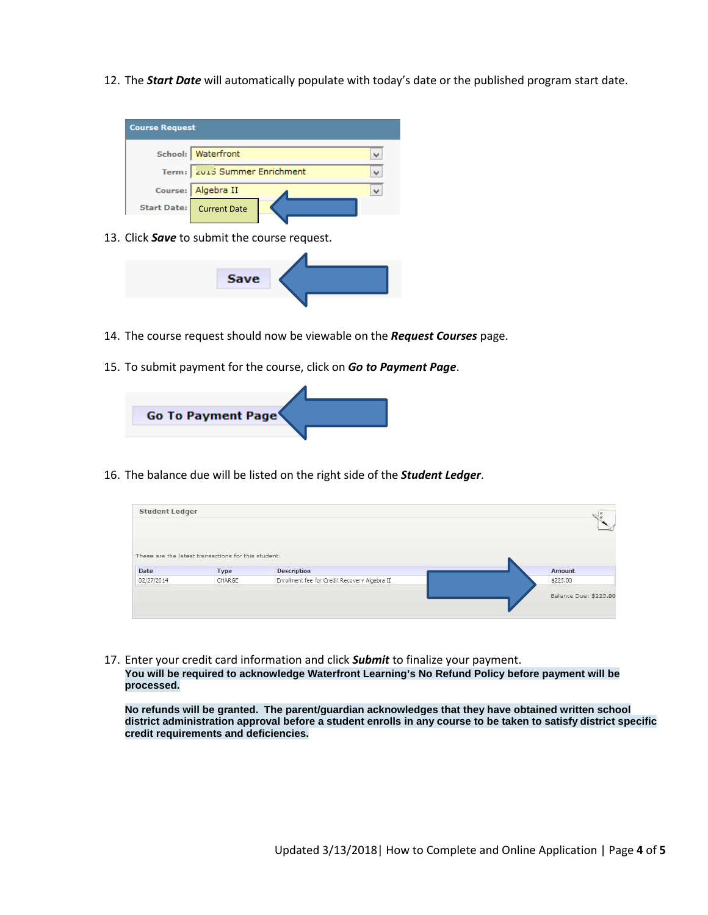12. The *Start Date* will automatically populate with today's date or the published program start date.



13. Click *Save* to submit the course request.



- 14. The course request should now be viewable on the *Request Courses* page.
- 15. To submit payment for the course, click on *Go to Payment Page*.



16. The balance due will be listed on the right side of the *Student Ledger*.

| <b>Student Ledger</b> |                                                     |                                               | $\sqrt{\frac{u}{u}}$  |
|-----------------------|-----------------------------------------------------|-----------------------------------------------|-----------------------|
|                       | These are the latest transactions for this student: |                                               |                       |
| Date                  | Type                                                | <b>Description</b>                            | Amount                |
| 02/27/2014            | CHARGE                                              | Enrollment fee for Credit Recovery Algebra II | \$225.00              |
|                       |                                                     |                                               | Balance Due: \$225.00 |

17. Enter your credit card information and click *Submit* to finalize your payment. **You will be required to acknowledge Waterfront Learning's No Refund Policy before payment will be processed.** 

**No refunds will be granted. The parent/guardian acknowledges that they have obtained written school district administration approval before a student enrolls in any course to be taken to satisfy district specific credit requirements and deficiencies.**